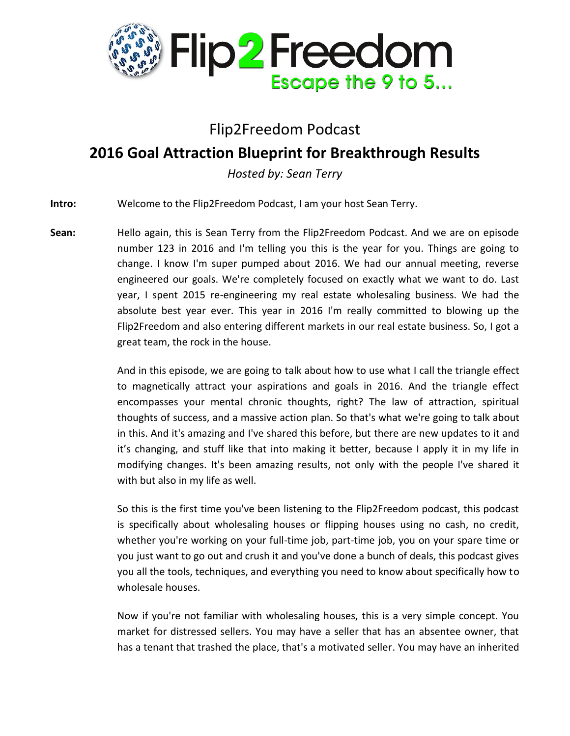

## Flip2Freedom Podcast

## **2016 Goal Attraction Blueprint for Breakthrough Results**

*Hosted by: Sean Terry*

**Intro:** Welcome to the Flip2Freedom Podcast, I am your host Sean Terry.

**Sean:** Hello again, this is Sean Terry from the Flip2Freedom Podcast. And we are on episode number 123 in 2016 and I'm telling you this is the year for you. Things are going to change. I know I'm super pumped about 2016. We had our annual meeting, reverse engineered our goals. We're completely focused on exactly what we want to do. Last year, I spent 2015 re-engineering my real estate wholesaling business. We had the absolute best year ever. This year in 2016 I'm really committed to blowing up the Flip2Freedom and also entering different markets in our real estate business. So, I got a great team, the rock in the house.

> And in this episode, we are going to talk about how to use what I call the triangle effect to magnetically attract your aspirations and goals in 2016. And the triangle effect encompasses your mental chronic thoughts, right? The law of attraction, spiritual thoughts of success, and a massive action plan. So that's what we're going to talk about in this. And it's amazing and I've shared this before, but there are new updates to it and it's changing, and stuff like that into making it better, because I apply it in my life in modifying changes. It's been amazing results, not only with the people I've shared it with but also in my life as well.

> So this is the first time you've been listening to the Flip2Freedom podcast, this podcast is specifically about wholesaling houses or flipping houses using no cash, no credit, whether you're working on your full-time job, part-time job, you on your spare time or you just want to go out and crush it and you've done a bunch of deals, this podcast gives you all the tools, techniques, and everything you need to know about specifically how to wholesale houses.

> Now if you're not familiar with wholesaling houses, this is a very simple concept. You market for distressed sellers. You may have a seller that has an absentee owner, that has a tenant that trashed the place, that's a motivated seller. You may have an inherited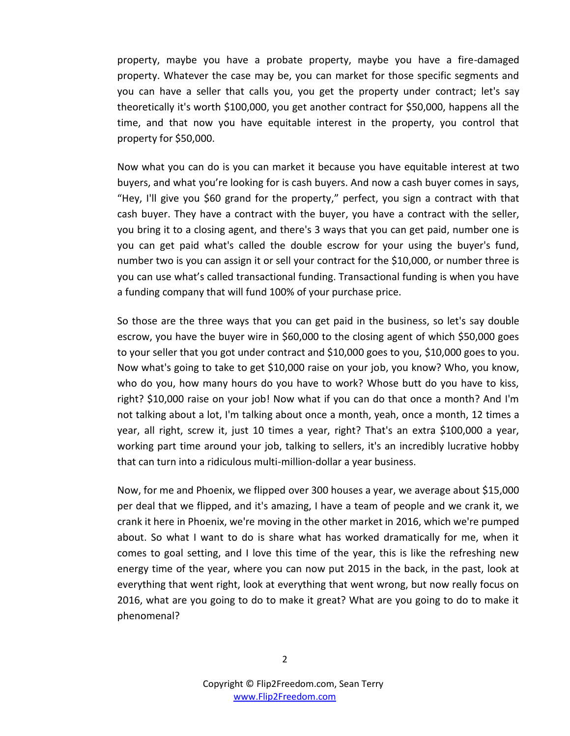property, maybe you have a probate property, maybe you have a fire-damaged property. Whatever the case may be, you can market for those specific segments and you can have a seller that calls you, you get the property under contract; let's say theoretically it's worth \$100,000, you get another contract for \$50,000, happens all the time, and that now you have equitable interest in the property, you control that property for \$50,000.

Now what you can do is you can market it because you have equitable interest at two buyers, and what you're looking for is cash buyers. And now a cash buyer comes in says, "Hey, I'll give you \$60 grand for the property," perfect, you sign a contract with that cash buyer. They have a contract with the buyer, you have a contract with the seller, you bring it to a closing agent, and there's 3 ways that you can get paid, number one is you can get paid what's called the double escrow for your using the buyer's fund, number two is you can assign it or sell your contract for the \$10,000, or number three is you can use what's called transactional funding. Transactional funding is when you have a funding company that will fund 100% of your purchase price.

So those are the three ways that you can get paid in the business, so let's say double escrow, you have the buyer wire in \$60,000 to the closing agent of which \$50,000 goes to your seller that you got under contract and \$10,000 goes to you, \$10,000 goes to you. Now what's going to take to get \$10,000 raise on your job, you know? Who, you know, who do you, how many hours do you have to work? Whose butt do you have to kiss, right? \$10,000 raise on your job! Now what if you can do that once a month? And I'm not talking about a lot, I'm talking about once a month, yeah, once a month, 12 times a year, all right, screw it, just 10 times a year, right? That's an extra \$100,000 a year, working part time around your job, talking to sellers, it's an incredibly lucrative hobby that can turn into a ridiculous multi-million-dollar a year business.

Now, for me and Phoenix, we flipped over 300 houses a year, we average about \$15,000 per deal that we flipped, and it's amazing, I have a team of people and we crank it, we crank it here in Phoenix, we're moving in the other market in 2016, which we're pumped about. So what I want to do is share what has worked dramatically for me, when it comes to goal setting, and I love this time of the year, this is like the refreshing new energy time of the year, where you can now put 2015 in the back, in the past, look at everything that went right, look at everything that went wrong, but now really focus on 2016, what are you going to do to make it great? What are you going to do to make it phenomenal?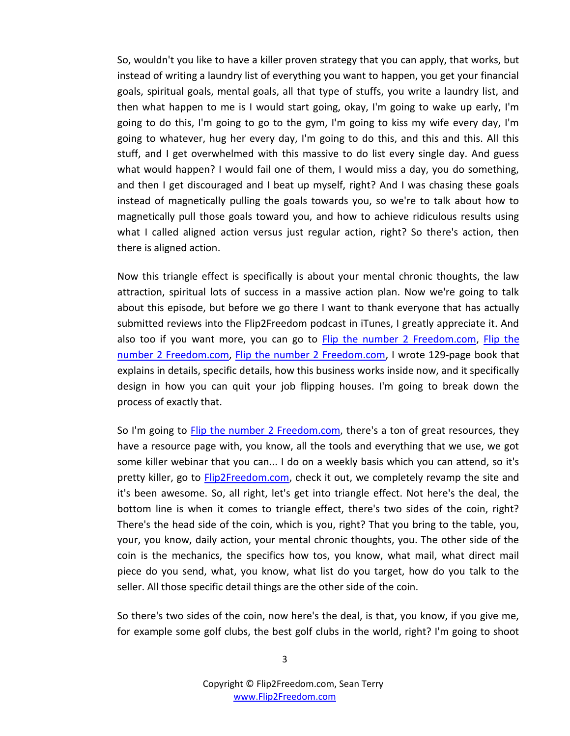So, wouldn't you like to have a killer proven strategy that you can apply, that works, but instead of writing a laundry list of everything you want to happen, you get your financial goals, spiritual goals, mental goals, all that type of stuffs, you write a laundry list, and then what happen to me is I would start going, okay, I'm going to wake up early, I'm going to do this, I'm going to go to the gym, I'm going to kiss my wife every day, I'm going to whatever, hug her every day, I'm going to do this, and this and this. All this stuff, and I get overwhelmed with this massive to do list every single day. And guess what would happen? I would fail one of them, I would miss a day, you do something, and then I get discouraged and I beat up myself, right? And I was chasing these goals instead of magnetically pulling the goals towards you, so we're to talk about how to magnetically pull those goals toward you, and how to achieve ridiculous results using what I called aligned action versus just regular action, right? So there's action, then there is aligned action.

Now this triangle effect is specifically is about your mental chronic thoughts, the law attraction, spiritual lots of success in a massive action plan. Now we're going to talk about this episode, but before we go there I want to thank everyone that has actually submitted reviews into the Flip2Freedom podcast in iTunes, I greatly appreciate it. And also too if you want more, you can go to **Flip the number 2 Freedom.com**, Flip the [number 2 Freedom.com, Flip the number 2 Freedom.com,](http://www.flip2freedom.com/) I wrote 129-page book that explains in details, specific details, how this business works inside now, and it specifically design in how you can quit your job flipping houses. I'm going to break down the process of exactly that.

So I'm going to [Flip the number 2 Freedom.com,](http://www.flip2freedom.com/) there's a ton of great resources, they have a resource page with, you know, all the tools and everything that we use, we got some killer webinar that you can... I do on a weekly basis which you can attend, so it's pretty killer, go to [Flip2Freedom.com,](http://www.flip2freedom.com/) check it out, we completely revamp the site and it's been awesome. So, all right, let's get into triangle effect. Not here's the deal, the bottom line is when it comes to triangle effect, there's two sides of the coin, right? There's the head side of the coin, which is you, right? That you bring to the table, you, your, you know, daily action, your mental chronic thoughts, you. The other side of the coin is the mechanics, the specifics how tos, you know, what mail, what direct mail piece do you send, what, you know, what list do you target, how do you talk to the seller. All those specific detail things are the other side of the coin.

So there's two sides of the coin, now here's the deal, is that, you know, if you give me, for example some golf clubs, the best golf clubs in the world, right? I'm going to shoot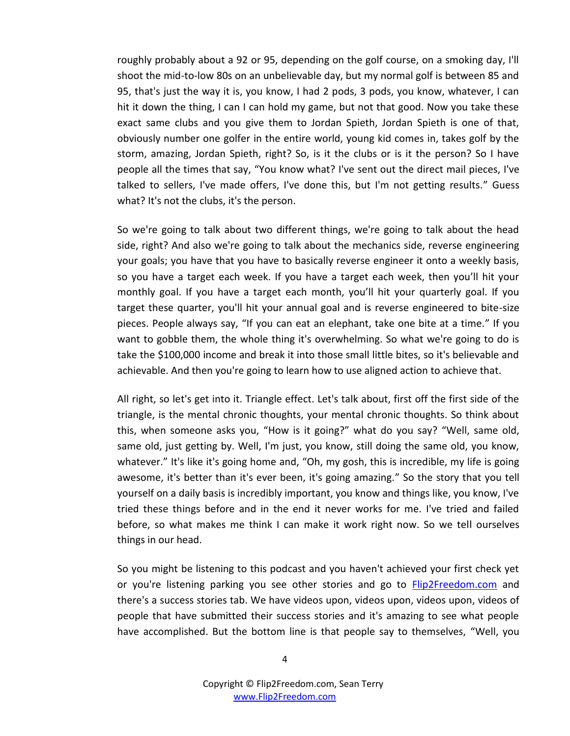roughly probably about a 92 or 95, depending on the golf course, on a smoking day, I'll shoot the mid-to-low 80s on an unbelievable day, but my normal golf is between 85 and 95, that's just the way it is, you know, I had 2 pods, 3 pods, you know, whatever, I can hit it down the thing, I can I can hold my game, but not that good. Now you take these exact same clubs and you give them to Jordan Spieth, Jordan Spieth is one of that, obviously number one golfer in the entire world, young kid comes in, takes golf by the storm, amazing, Jordan Spieth, right? So, is it the clubs or is it the person? So I have people all the times that say, "You know what? I've sent out the direct mail pieces, I've talked to sellers, I've made offers, I've done this, but I'm not getting results." Guess what? It's not the clubs, it's the person.

So we're going to talk about two different things, we're going to talk about the head side, right? And also we're going to talk about the mechanics side, reverse engineering your goals; you have that you have to basically reverse engineer it onto a weekly basis, so you have a target each week. If you have a target each week, then you'll hit your monthly goal. If you have a target each month, you'll hit your quarterly goal. If you target these quarter, you'll hit your annual goal and is reverse engineered to bite-size pieces. People always say, "If you can eat an elephant, take one bite at a time." If you want to gobble them, the whole thing it's overwhelming. So what we're going to do is take the \$100,000 income and break it into those small little bites, so it's believable and achievable. And then you're going to learn how to use aligned action to achieve that.

All right, so let's get into it. Triangle effect. Let's talk about, first off the first side of the triangle, is the mental chronic thoughts, your mental chronic thoughts. So think about this, when someone asks you, "How is it going?" what do you say? "Well, same old, same old, just getting by. Well, I'm just, you know, still doing the same old, you know, whatever." It's like it's going home and, "Oh, my gosh, this is incredible, my life is going awesome, it's better than it's ever been, it's going amazing." So the story that you tell yourself on a daily basis is incredibly important, you know and things like, you know, I've tried these things before and in the end it never works for me. I've tried and failed before, so what makes me think I can make it work right now. So we tell ourselves things in our head.

So you might be listening to this podcast and you haven't achieved your first check yet or you're listening parking you see other stories and go to [Flip2Freedom.com](http://www.flip2freedom.com/) and there's a success stories tab. We have videos upon, videos upon, videos upon, videos of people that have submitted their success stories and it's amazing to see what people have accomplished. But the bottom line is that people say to themselves, "Well, you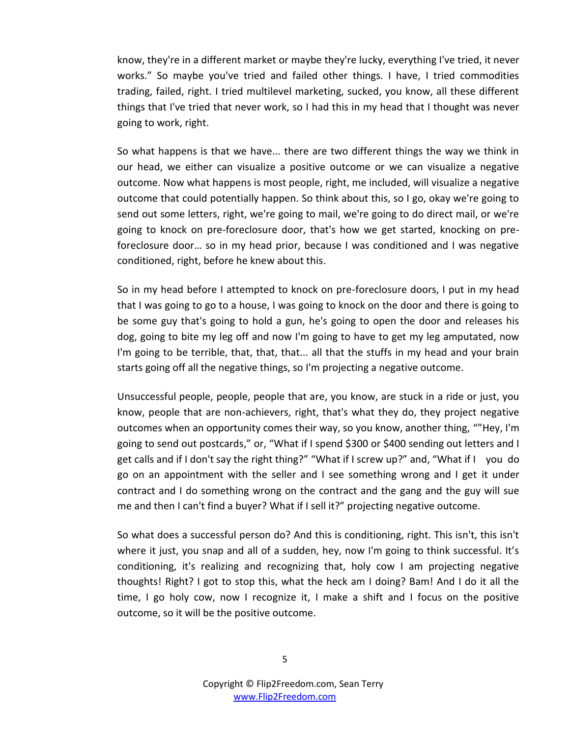know, they're in a different market or maybe they're lucky, everything I've tried, it never works." So maybe you've tried and failed other things. I have, I tried commodities trading, failed, right. I tried multilevel marketing, sucked, you know, all these different things that I've tried that never work, so I had this in my head that I thought was never going to work, right.

So what happens is that we have... there are two different things the way we think in our head, we either can visualize a positive outcome or we can visualize a negative outcome. Now what happens is most people, right, me included, will visualize a negative outcome that could potentially happen. So think about this, so I go, okay we're going to send out some letters, right, we're going to mail, we're going to do direct mail, or we're going to knock on pre-foreclosure door, that's how we get started, knocking on preforeclosure door… so in my head prior, because I was conditioned and I was negative conditioned, right, before he knew about this.

So in my head before I attempted to knock on pre-foreclosure doors, I put in my head that I was going to go to a house, I was going to knock on the door and there is going to be some guy that's going to hold a gun, he's going to open the door and releases his dog, going to bite my leg off and now I'm going to have to get my leg amputated, now I'm going to be terrible, that, that, that... all that the stuffs in my head and your brain starts going off all the negative things, so I'm projecting a negative outcome.

Unsuccessful people, people, people that are, you know, are stuck in a ride or just, you know, people that are non-achievers, right, that's what they do, they project negative outcomes when an opportunity comes their way, so you know, another thing, ""Hey, I'm going to send out postcards," or, "What if I spend \$300 or \$400 sending out letters and I get calls and if I don't say the right thing?" "What if I screw up?" and, "What if I you do go on an appointment with the seller and I see something wrong and I get it under contract and I do something wrong on the contract and the gang and the guy will sue me and then I can't find a buyer? What if I sell it?" projecting negative outcome.

So what does a successful person do? And this is conditioning, right. This isn't, this isn't where it just, you snap and all of a sudden, hey, now I'm going to think successful. It's conditioning, it's realizing and recognizing that, holy cow I am projecting negative thoughts! Right? I got to stop this, what the heck am I doing? Bam! And I do it all the time, I go holy cow, now I recognize it, I make a shift and I focus on the positive outcome, so it will be the positive outcome.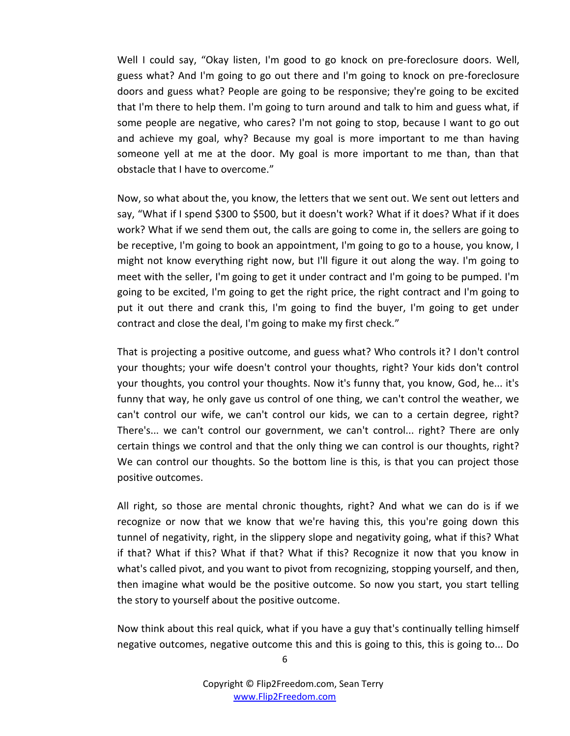Well I could say, "Okay listen, I'm good to go knock on pre-foreclosure doors. Well, guess what? And I'm going to go out there and I'm going to knock on pre-foreclosure doors and guess what? People are going to be responsive; they're going to be excited that I'm there to help them. I'm going to turn around and talk to him and guess what, if some people are negative, who cares? I'm not going to stop, because I want to go out and achieve my goal, why? Because my goal is more important to me than having someone yell at me at the door. My goal is more important to me than, than that obstacle that I have to overcome."

Now, so what about the, you know, the letters that we sent out. We sent out letters and say, "What if I spend \$300 to \$500, but it doesn't work? What if it does? What if it does work? What if we send them out, the calls are going to come in, the sellers are going to be receptive, I'm going to book an appointment, I'm going to go to a house, you know, I might not know everything right now, but I'll figure it out along the way. I'm going to meet with the seller, I'm going to get it under contract and I'm going to be pumped. I'm going to be excited, I'm going to get the right price, the right contract and I'm going to put it out there and crank this, I'm going to find the buyer, I'm going to get under contract and close the deal, I'm going to make my first check."

That is projecting a positive outcome, and guess what? Who controls it? I don't control your thoughts; your wife doesn't control your thoughts, right? Your kids don't control your thoughts, you control your thoughts. Now it's funny that, you know, God, he... it's funny that way, he only gave us control of one thing, we can't control the weather, we can't control our wife, we can't control our kids, we can to a certain degree, right? There's... we can't control our government, we can't control... right? There are only certain things we control and that the only thing we can control is our thoughts, right? We can control our thoughts. So the bottom line is this, is that you can project those positive outcomes.

All right, so those are mental chronic thoughts, right? And what we can do is if we recognize or now that we know that we're having this, this you're going down this tunnel of negativity, right, in the slippery slope and negativity going, what if this? What if that? What if this? What if that? What if this? Recognize it now that you know in what's called pivot, and you want to pivot from recognizing, stopping yourself, and then, then imagine what would be the positive outcome. So now you start, you start telling the story to yourself about the positive outcome.

Now think about this real quick, what if you have a guy that's continually telling himself negative outcomes, negative outcome this and this is going to this, this is going to... Do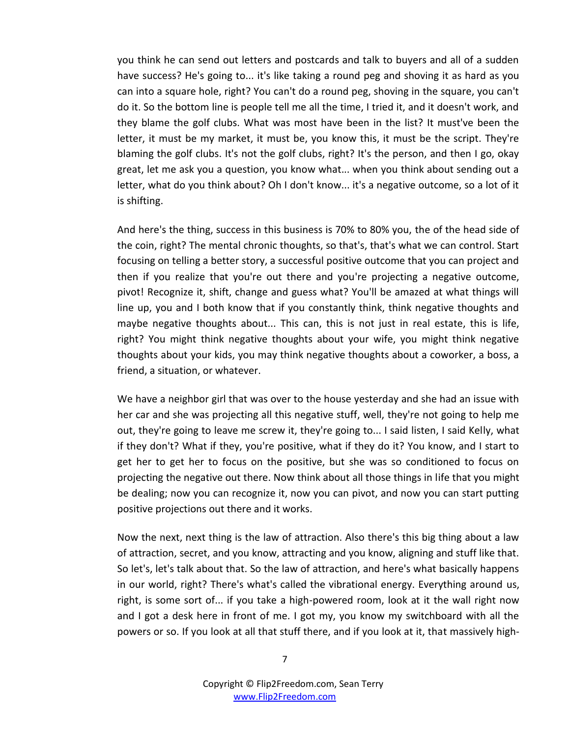you think he can send out letters and postcards and talk to buyers and all of a sudden have success? He's going to... it's like taking a round peg and shoving it as hard as you can into a square hole, right? You can't do a round peg, shoving in the square, you can't do it. So the bottom line is people tell me all the time, I tried it, and it doesn't work, and they blame the golf clubs. What was most have been in the list? It must've been the letter, it must be my market, it must be, you know this, it must be the script. They're blaming the golf clubs. It's not the golf clubs, right? It's the person, and then I go, okay great, let me ask you a question, you know what... when you think about sending out a letter, what do you think about? Oh I don't know... it's a negative outcome, so a lot of it is shifting.

And here's the thing, success in this business is 70% to 80% you, the of the head side of the coin, right? The mental chronic thoughts, so that's, that's what we can control. Start focusing on telling a better story, a successful positive outcome that you can project and then if you realize that you're out there and you're projecting a negative outcome, pivot! Recognize it, shift, change and guess what? You'll be amazed at what things will line up, you and I both know that if you constantly think, think negative thoughts and maybe negative thoughts about... This can, this is not just in real estate, this is life, right? You might think negative thoughts about your wife, you might think negative thoughts about your kids, you may think negative thoughts about a coworker, a boss, a friend, a situation, or whatever.

We have a neighbor girl that was over to the house yesterday and she had an issue with her car and she was projecting all this negative stuff, well, they're not going to help me out, they're going to leave me screw it, they're going to... I said listen, I said Kelly, what if they don't? What if they, you're positive, what if they do it? You know, and I start to get her to get her to focus on the positive, but she was so conditioned to focus on projecting the negative out there. Now think about all those things in life that you might be dealing; now you can recognize it, now you can pivot, and now you can start putting positive projections out there and it works.

Now the next, next thing is the law of attraction. Also there's this big thing about a law of attraction, secret, and you know, attracting and you know, aligning and stuff like that. So let's, let's talk about that. So the law of attraction, and here's what basically happens in our world, right? There's what's called the vibrational energy. Everything around us, right, is some sort of... if you take a high-powered room, look at it the wall right now and I got a desk here in front of me. I got my, you know my switchboard with all the powers or so. If you look at all that stuff there, and if you look at it, that massively high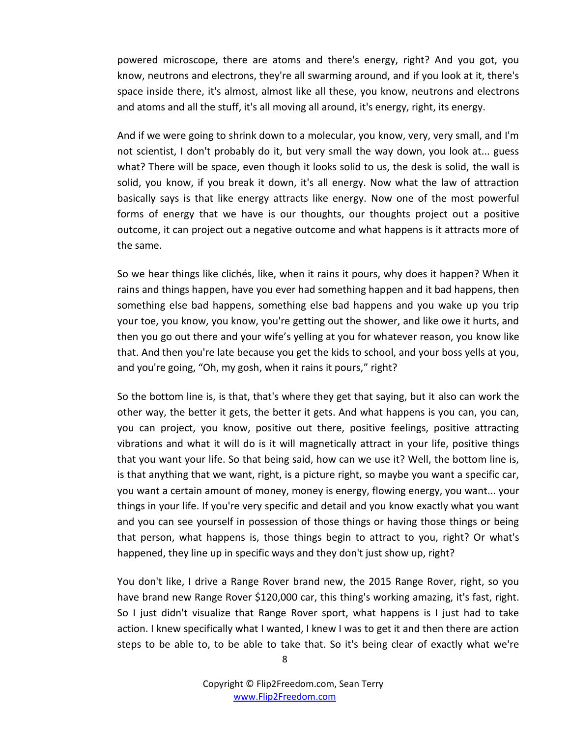powered microscope, there are atoms and there's energy, right? And you got, you know, neutrons and electrons, they're all swarming around, and if you look at it, there's space inside there, it's almost, almost like all these, you know, neutrons and electrons and atoms and all the stuff, it's all moving all around, it's energy, right, its energy.

And if we were going to shrink down to a molecular, you know, very, very small, and I'm not scientist, I don't probably do it, but very small the way down, you look at... guess what? There will be space, even though it looks solid to us, the desk is solid, the wall is solid, you know, if you break it down, it's all energy. Now what the law of attraction basically says is that like energy attracts like energy. Now one of the most powerful forms of energy that we have is our thoughts, our thoughts project out a positive outcome, it can project out a negative outcome and what happens is it attracts more of the same.

So we hear things like clichés, like, when it rains it pours, why does it happen? When it rains and things happen, have you ever had something happen and it bad happens, then something else bad happens, something else bad happens and you wake up you trip your toe, you know, you know, you're getting out the shower, and like owe it hurts, and then you go out there and your wife's yelling at you for whatever reason, you know like that. And then you're late because you get the kids to school, and your boss yells at you, and you're going, "Oh, my gosh, when it rains it pours," right?

So the bottom line is, is that, that's where they get that saying, but it also can work the other way, the better it gets, the better it gets. And what happens is you can, you can, you can project, you know, positive out there, positive feelings, positive attracting vibrations and what it will do is it will magnetically attract in your life, positive things that you want your life. So that being said, how can we use it? Well, the bottom line is, is that anything that we want, right, is a picture right, so maybe you want a specific car, you want a certain amount of money, money is energy, flowing energy, you want... your things in your life. If you're very specific and detail and you know exactly what you want and you can see yourself in possession of those things or having those things or being that person, what happens is, those things begin to attract to you, right? Or what's happened, they line up in specific ways and they don't just show up, right?

You don't like, I drive a Range Rover brand new, the 2015 Range Rover, right, so you have brand new Range Rover \$120,000 car, this thing's working amazing, it's fast, right. So I just didn't visualize that Range Rover sport, what happens is I just had to take action. I knew specifically what I wanted, I knew I was to get it and then there are action steps to be able to, to be able to take that. So it's being clear of exactly what we're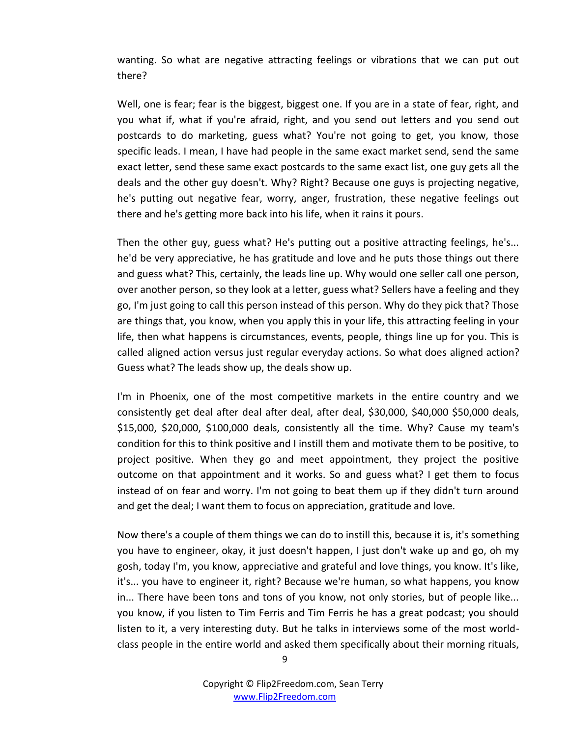wanting. So what are negative attracting feelings or vibrations that we can put out there?

Well, one is fear; fear is the biggest, biggest one. If you are in a state of fear, right, and you what if, what if you're afraid, right, and you send out letters and you send out postcards to do marketing, guess what? You're not going to get, you know, those specific leads. I mean, I have had people in the same exact market send, send the same exact letter, send these same exact postcards to the same exact list, one guy gets all the deals and the other guy doesn't. Why? Right? Because one guys is projecting negative, he's putting out negative fear, worry, anger, frustration, these negative feelings out there and he's getting more back into his life, when it rains it pours.

Then the other guy, guess what? He's putting out a positive attracting feelings, he's... he'd be very appreciative, he has gratitude and love and he puts those things out there and guess what? This, certainly, the leads line up. Why would one seller call one person, over another person, so they look at a letter, guess what? Sellers have a feeling and they go, I'm just going to call this person instead of this person. Why do they pick that? Those are things that, you know, when you apply this in your life, this attracting feeling in your life, then what happens is circumstances, events, people, things line up for you. This is called aligned action versus just regular everyday actions. So what does aligned action? Guess what? The leads show up, the deals show up.

I'm in Phoenix, one of the most competitive markets in the entire country and we consistently get deal after deal after deal, after deal, \$30,000, \$40,000 \$50,000 deals, \$15,000, \$20,000, \$100,000 deals, consistently all the time. Why? Cause my team's condition for this to think positive and I instill them and motivate them to be positive, to project positive. When they go and meet appointment, they project the positive outcome on that appointment and it works. So and guess what? I get them to focus instead of on fear and worry. I'm not going to beat them up if they didn't turn around and get the deal; I want them to focus on appreciation, gratitude and love.

Now there's a couple of them things we can do to instill this, because it is, it's something you have to engineer, okay, it just doesn't happen, I just don't wake up and go, oh my gosh, today I'm, you know, appreciative and grateful and love things, you know. It's like, it's... you have to engineer it, right? Because we're human, so what happens, you know in... There have been tons and tons of you know, not only stories, but of people like... you know, if you listen to Tim Ferris and Tim Ferris he has a great podcast; you should listen to it, a very interesting duty. But he talks in interviews some of the most worldclass people in the entire world and asked them specifically about their morning rituals,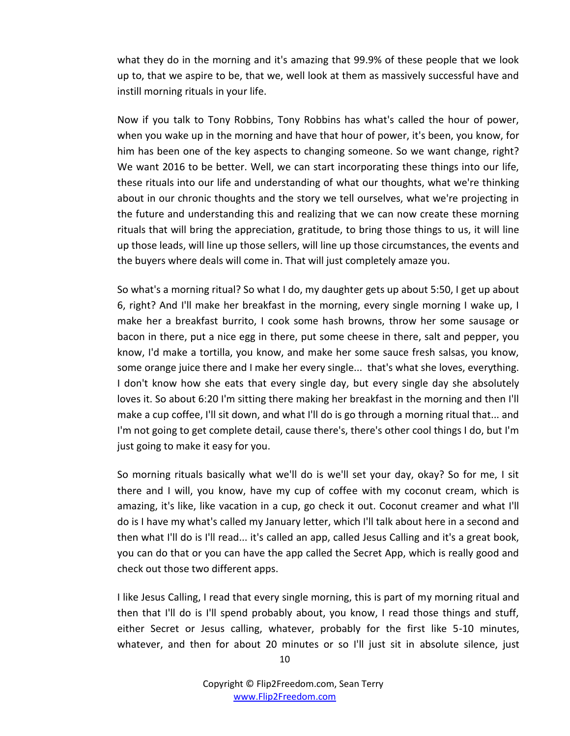what they do in the morning and it's amazing that 99.9% of these people that we look up to, that we aspire to be, that we, well look at them as massively successful have and instill morning rituals in your life.

Now if you talk to Tony Robbins, Tony Robbins has what's called the hour of power, when you wake up in the morning and have that hour of power, it's been, you know, for him has been one of the key aspects to changing someone. So we want change, right? We want 2016 to be better. Well, we can start incorporating these things into our life, these rituals into our life and understanding of what our thoughts, what we're thinking about in our chronic thoughts and the story we tell ourselves, what we're projecting in the future and understanding this and realizing that we can now create these morning rituals that will bring the appreciation, gratitude, to bring those things to us, it will line up those leads, will line up those sellers, will line up those circumstances, the events and the buyers where deals will come in. That will just completely amaze you.

So what's a morning ritual? So what I do, my daughter gets up about 5:50, I get up about 6, right? And I'll make her breakfast in the morning, every single morning I wake up, I make her a breakfast burrito, I cook some hash browns, throw her some sausage or bacon in there, put a nice egg in there, put some cheese in there, salt and pepper, you know, I'd make a tortilla, you know, and make her some sauce fresh salsas, you know, some orange juice there and I make her every single... that's what she loves, everything. I don't know how she eats that every single day, but every single day she absolutely loves it. So about 6:20 I'm sitting there making her breakfast in the morning and then I'll make a cup coffee, I'll sit down, and what I'll do is go through a morning ritual that... and I'm not going to get complete detail, cause there's, there's other cool things I do, but I'm just going to make it easy for you.

So morning rituals basically what we'll do is we'll set your day, okay? So for me, I sit there and I will, you know, have my cup of coffee with my coconut cream, which is amazing, it's like, like vacation in a cup, go check it out. Coconut creamer and what I'll do is I have my what's called my January letter, which I'll talk about here in a second and then what I'll do is I'll read... it's called an app, called Jesus Calling and it's a great book, you can do that or you can have the app called the Secret App, which is really good and check out those two different apps.

I like Jesus Calling, I read that every single morning, this is part of my morning ritual and then that I'll do is I'll spend probably about, you know, I read those things and stuff, either Secret or Jesus calling, whatever, probably for the first like 5-10 minutes, whatever, and then for about 20 minutes or so I'll just sit in absolute silence, just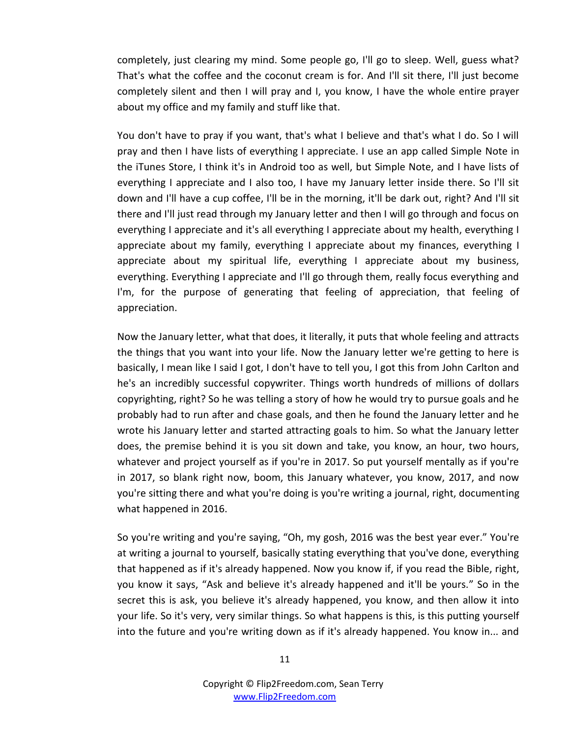completely, just clearing my mind. Some people go, I'll go to sleep. Well, guess what? That's what the coffee and the coconut cream is for. And I'll sit there, I'll just become completely silent and then I will pray and I, you know, I have the whole entire prayer about my office and my family and stuff like that.

You don't have to pray if you want, that's what I believe and that's what I do. So I will pray and then I have lists of everything I appreciate. I use an app called Simple Note in the iTunes Store, I think it's in Android too as well, but Simple Note, and I have lists of everything I appreciate and I also too, I have my January letter inside there. So I'll sit down and I'll have a cup coffee, I'll be in the morning, it'll be dark out, right? And I'll sit there and I'll just read through my January letter and then I will go through and focus on everything I appreciate and it's all everything I appreciate about my health, everything I appreciate about my family, everything I appreciate about my finances, everything I appreciate about my spiritual life, everything I appreciate about my business, everything. Everything I appreciate and I'll go through them, really focus everything and I'm, for the purpose of generating that feeling of appreciation, that feeling of appreciation.

Now the January letter, what that does, it literally, it puts that whole feeling and attracts the things that you want into your life. Now the January letter we're getting to here is basically, I mean like I said I got, I don't have to tell you, I got this from John Carlton and he's an incredibly successful copywriter. Things worth hundreds of millions of dollars copyrighting, right? So he was telling a story of how he would try to pursue goals and he probably had to run after and chase goals, and then he found the January letter and he wrote his January letter and started attracting goals to him. So what the January letter does, the premise behind it is you sit down and take, you know, an hour, two hours, whatever and project yourself as if you're in 2017. So put yourself mentally as if you're in 2017, so blank right now, boom, this January whatever, you know, 2017, and now you're sitting there and what you're doing is you're writing a journal, right, documenting what happened in 2016.

So you're writing and you're saying, "Oh, my gosh, 2016 was the best year ever." You're at writing a journal to yourself, basically stating everything that you've done, everything that happened as if it's already happened. Now you know if, if you read the Bible, right, you know it says, "Ask and believe it's already happened and it'll be yours." So in the secret this is ask, you believe it's already happened, you know, and then allow it into your life. So it's very, very similar things. So what happens is this, is this putting yourself into the future and you're writing down as if it's already happened. You know in... and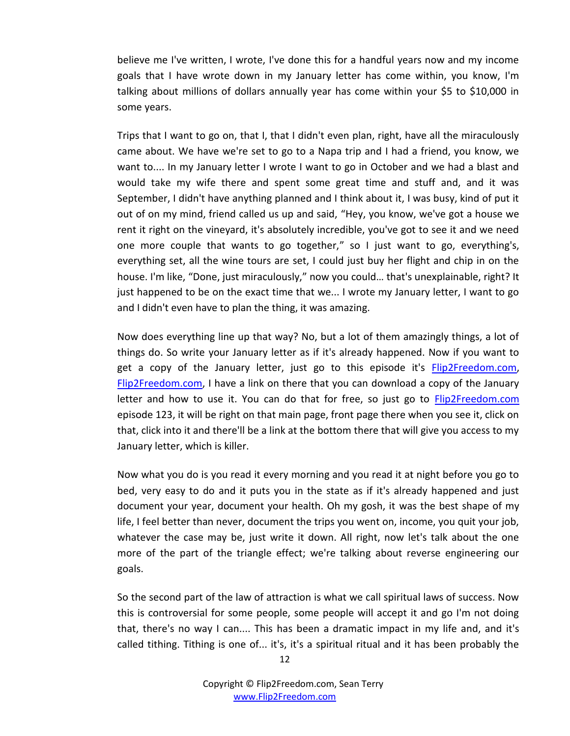believe me I've written, I wrote, I've done this for a handful years now and my income goals that I have wrote down in my January letter has come within, you know, I'm talking about millions of dollars annually year has come within your \$5 to \$10,000 in some years.

Trips that I want to go on, that I, that I didn't even plan, right, have all the miraculously came about. We have we're set to go to a Napa trip and I had a friend, you know, we want to.... In my January letter I wrote I want to go in October and we had a blast and would take my wife there and spent some great time and stuff and, and it was September, I didn't have anything planned and I think about it, I was busy, kind of put it out of on my mind, friend called us up and said, "Hey, you know, we've got a house we rent it right on the vineyard, it's absolutely incredible, you've got to see it and we need one more couple that wants to go together," so I just want to go, everything's, everything set, all the wine tours are set, I could just buy her flight and chip in on the house. I'm like, "Done, just miraculously," now you could… that's unexplainable, right? It just happened to be on the exact time that we... I wrote my January letter, I want to go and I didn't even have to plan the thing, it was amazing.

Now does everything line up that way? No, but a lot of them amazingly things, a lot of things do. So write your January letter as if it's already happened. Now if you want to get a copy of the January letter, just go to this episode it's **Flip2Freedom.com**, [Flip2Freedom.com,](http://www.flip2freedom.com/) I have a link on there that you can download a copy of the January letter and how to use it. You can do that for free, so just go to [Flip2Freedom.com](http://www.flip2freedom.com/) episode 123, it will be right on that main page, front page there when you see it, click on that, click into it and there'll be a link at the bottom there that will give you access to my January letter, which is killer.

Now what you do is you read it every morning and you read it at night before you go to bed, very easy to do and it puts you in the state as if it's already happened and just document your year, document your health. Oh my gosh, it was the best shape of my life, I feel better than never, document the trips you went on, income, you quit your job, whatever the case may be, just write it down. All right, now let's talk about the one more of the part of the triangle effect; we're talking about reverse engineering our goals.

So the second part of the law of attraction is what we call spiritual laws of success. Now this is controversial for some people, some people will accept it and go I'm not doing that, there's no way I can.... This has been a dramatic impact in my life and, and it's called tithing. Tithing is one of... it's, it's a spiritual ritual and it has been probably the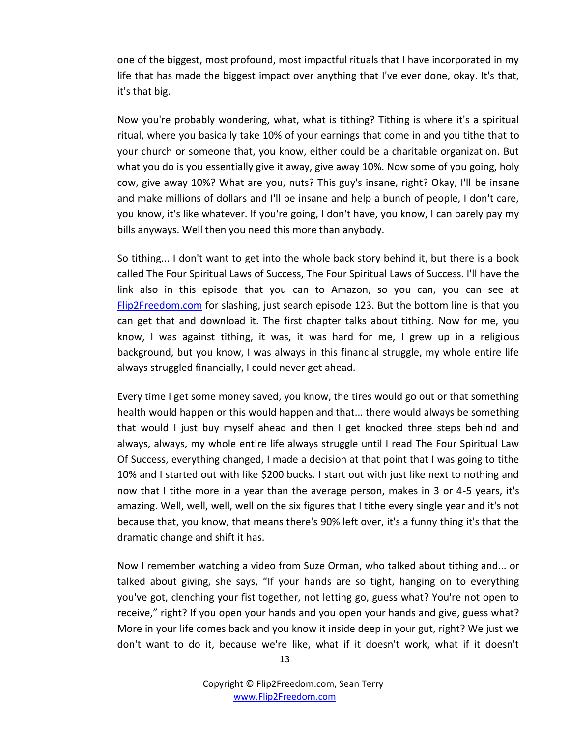one of the biggest, most profound, most impactful rituals that I have incorporated in my life that has made the biggest impact over anything that I've ever done, okay. It's that, it's that big.

Now you're probably wondering, what, what is tithing? Tithing is where it's a spiritual ritual, where you basically take 10% of your earnings that come in and you tithe that to your church or someone that, you know, either could be a charitable organization. But what you do is you essentially give it away, give away 10%. Now some of you going, holy cow, give away 10%? What are you, nuts? This guy's insane, right? Okay, I'll be insane and make millions of dollars and I'll be insane and help a bunch of people, I don't care, you know, it's like whatever. If you're going, I don't have, you know, I can barely pay my bills anyways. Well then you need this more than anybody.

So tithing... I don't want to get into the whole back story behind it, but there is a book called The Four Spiritual Laws of Success, The Four Spiritual Laws of Success. I'll have the link also in this episode that you can to Amazon, so you can, you can see at [Flip2Freedom.com](http://www.flip2freedom.com/) for slashing, just search episode 123. But the bottom line is that you can get that and download it. The first chapter talks about tithing. Now for me, you know, I was against tithing, it was, it was hard for me, I grew up in a religious background, but you know, I was always in this financial struggle, my whole entire life always struggled financially, I could never get ahead.

Every time I get some money saved, you know, the tires would go out or that something health would happen or this would happen and that... there would always be something that would I just buy myself ahead and then I get knocked three steps behind and always, always, my whole entire life always struggle until I read The Four Spiritual Law Of Success, everything changed, I made a decision at that point that I was going to tithe 10% and I started out with like \$200 bucks. I start out with just like next to nothing and now that I tithe more in a year than the average person, makes in 3 or 4-5 years, it's amazing. Well, well, well, well on the six figures that I tithe every single year and it's not because that, you know, that means there's 90% left over, it's a funny thing it's that the dramatic change and shift it has.

Now I remember watching a video from Suze Orman, who talked about tithing and... or talked about giving, she says, "If your hands are so tight, hanging on to everything you've got, clenching your fist together, not letting go, guess what? You're not open to receive," right? If you open your hands and you open your hands and give, guess what? More in your life comes back and you know it inside deep in your gut, right? We just we don't want to do it, because we're like, what if it doesn't work, what if it doesn't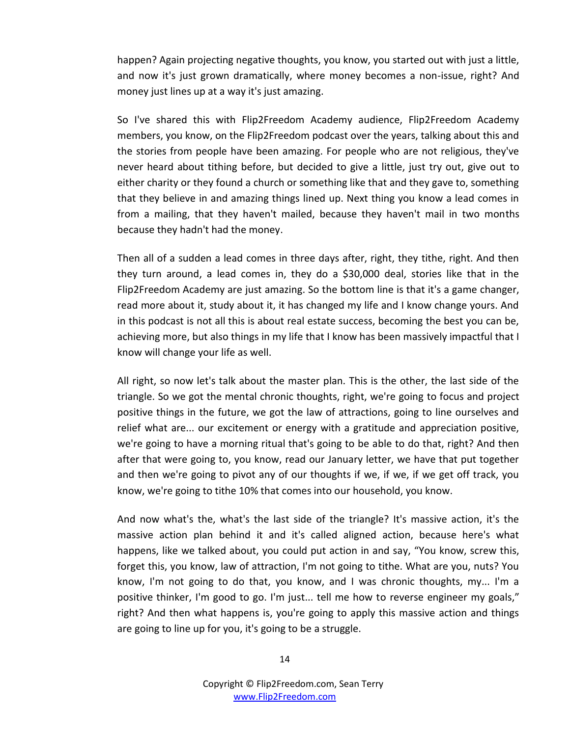happen? Again projecting negative thoughts, you know, you started out with just a little, and now it's just grown dramatically, where money becomes a non-issue, right? And money just lines up at a way it's just amazing.

So I've shared this with Flip2Freedom Academy audience, Flip2Freedom Academy members, you know, on the Flip2Freedom podcast over the years, talking about this and the stories from people have been amazing. For people who are not religious, they've never heard about tithing before, but decided to give a little, just try out, give out to either charity or they found a church or something like that and they gave to, something that they believe in and amazing things lined up. Next thing you know a lead comes in from a mailing, that they haven't mailed, because they haven't mail in two months because they hadn't had the money.

Then all of a sudden a lead comes in three days after, right, they tithe, right. And then they turn around, a lead comes in, they do a \$30,000 deal, stories like that in the Flip2Freedom Academy are just amazing. So the bottom line is that it's a game changer, read more about it, study about it, it has changed my life and I know change yours. And in this podcast is not all this is about real estate success, becoming the best you can be, achieving more, but also things in my life that I know has been massively impactful that I know will change your life as well.

All right, so now let's talk about the master plan. This is the other, the last side of the triangle. So we got the mental chronic thoughts, right, we're going to focus and project positive things in the future, we got the law of attractions, going to line ourselves and relief what are... our excitement or energy with a gratitude and appreciation positive, we're going to have a morning ritual that's going to be able to do that, right? And then after that were going to, you know, read our January letter, we have that put together and then we're going to pivot any of our thoughts if we, if we, if we get off track, you know, we're going to tithe 10% that comes into our household, you know.

And now what's the, what's the last side of the triangle? It's massive action, it's the massive action plan behind it and it's called aligned action, because here's what happens, like we talked about, you could put action in and say, "You know, screw this, forget this, you know, law of attraction, I'm not going to tithe. What are you, nuts? You know, I'm not going to do that, you know, and I was chronic thoughts, my... I'm a positive thinker, I'm good to go. I'm just... tell me how to reverse engineer my goals," right? And then what happens is, you're going to apply this massive action and things are going to line up for you, it's going to be a struggle.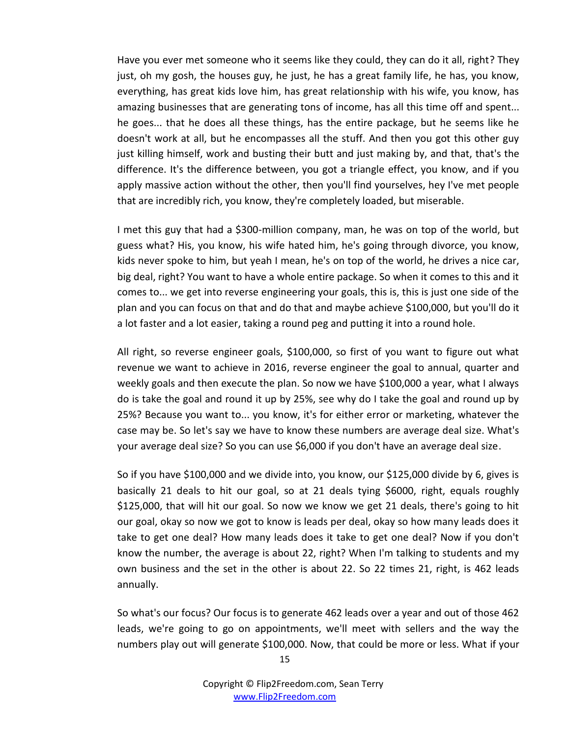Have you ever met someone who it seems like they could, they can do it all, right? They just, oh my gosh, the houses guy, he just, he has a great family life, he has, you know, everything, has great kids love him, has great relationship with his wife, you know, has amazing businesses that are generating tons of income, has all this time off and spent... he goes... that he does all these things, has the entire package, but he seems like he doesn't work at all, but he encompasses all the stuff. And then you got this other guy just killing himself, work and busting their butt and just making by, and that, that's the difference. It's the difference between, you got a triangle effect, you know, and if you apply massive action without the other, then you'll find yourselves, hey I've met people that are incredibly rich, you know, they're completely loaded, but miserable.

I met this guy that had a \$300-million company, man, he was on top of the world, but guess what? His, you know, his wife hated him, he's going through divorce, you know, kids never spoke to him, but yeah I mean, he's on top of the world, he drives a nice car, big deal, right? You want to have a whole entire package. So when it comes to this and it comes to... we get into reverse engineering your goals, this is, this is just one side of the plan and you can focus on that and do that and maybe achieve \$100,000, but you'll do it a lot faster and a lot easier, taking a round peg and putting it into a round hole.

All right, so reverse engineer goals, \$100,000, so first of you want to figure out what revenue we want to achieve in 2016, reverse engineer the goal to annual, quarter and weekly goals and then execute the plan. So now we have \$100,000 a year, what I always do is take the goal and round it up by 25%, see why do I take the goal and round up by 25%? Because you want to... you know, it's for either error or marketing, whatever the case may be. So let's say we have to know these numbers are average deal size. What's your average deal size? So you can use \$6,000 if you don't have an average deal size.

So if you have \$100,000 and we divide into, you know, our \$125,000 divide by 6, gives is basically 21 deals to hit our goal, so at 21 deals tying \$6000, right, equals roughly \$125,000, that will hit our goal. So now we know we get 21 deals, there's going to hit our goal, okay so now we got to know is leads per deal, okay so how many leads does it take to get one deal? How many leads does it take to get one deal? Now if you don't know the number, the average is about 22, right? When I'm talking to students and my own business and the set in the other is about 22. So 22 times 21, right, is 462 leads annually.

So what's our focus? Our focus is to generate 462 leads over a year and out of those 462 leads, we're going to go on appointments, we'll meet with sellers and the way the numbers play out will generate \$100,000. Now, that could be more or less. What if your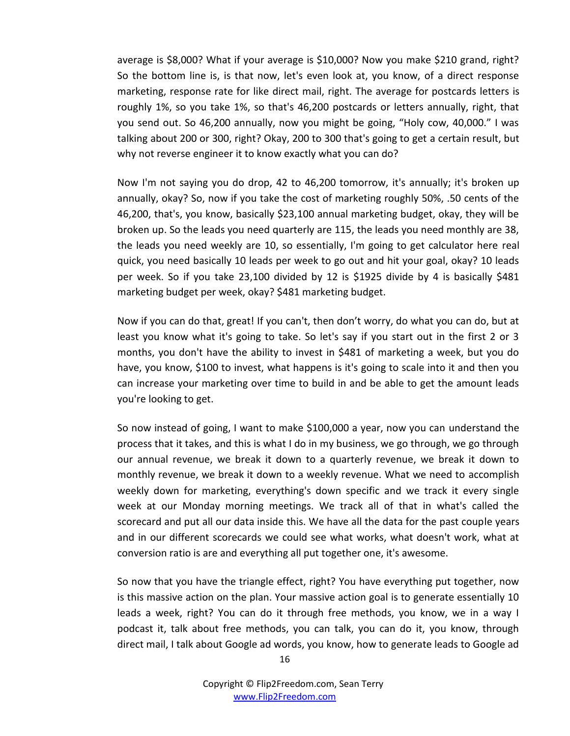average is \$8,000? What if your average is \$10,000? Now you make \$210 grand, right? So the bottom line is, is that now, let's even look at, you know, of a direct response marketing, response rate for like direct mail, right. The average for postcards letters is roughly 1%, so you take 1%, so that's 46,200 postcards or letters annually, right, that you send out. So 46,200 annually, now you might be going, "Holy cow, 40,000." I was talking about 200 or 300, right? Okay, 200 to 300 that's going to get a certain result, but why not reverse engineer it to know exactly what you can do?

Now I'm not saying you do drop, 42 to 46,200 tomorrow, it's annually; it's broken up annually, okay? So, now if you take the cost of marketing roughly 50%, .50 cents of the 46,200, that's, you know, basically \$23,100 annual marketing budget, okay, they will be broken up. So the leads you need quarterly are 115, the leads you need monthly are 38, the leads you need weekly are 10, so essentially, I'm going to get calculator here real quick, you need basically 10 leads per week to go out and hit your goal, okay? 10 leads per week. So if you take 23,100 divided by 12 is \$1925 divide by 4 is basically \$481 marketing budget per week, okay? \$481 marketing budget.

Now if you can do that, great! If you can't, then don't worry, do what you can do, but at least you know what it's going to take. So let's say if you start out in the first 2 or 3 months, you don't have the ability to invest in \$481 of marketing a week, but you do have, you know, \$100 to invest, what happens is it's going to scale into it and then you can increase your marketing over time to build in and be able to get the amount leads you're looking to get.

So now instead of going, I want to make \$100,000 a year, now you can understand the process that it takes, and this is what I do in my business, we go through, we go through our annual revenue, we break it down to a quarterly revenue, we break it down to monthly revenue, we break it down to a weekly revenue. What we need to accomplish weekly down for marketing, everything's down specific and we track it every single week at our Monday morning meetings. We track all of that in what's called the scorecard and put all our data inside this. We have all the data for the past couple years and in our different scorecards we could see what works, what doesn't work, what at conversion ratio is are and everything all put together one, it's awesome.

So now that you have the triangle effect, right? You have everything put together, now is this massive action on the plan. Your massive action goal is to generate essentially 10 leads a week, right? You can do it through free methods, you know, we in a way I podcast it, talk about free methods, you can talk, you can do it, you know, through direct mail, I talk about Google ad words, you know, how to generate leads to Google ad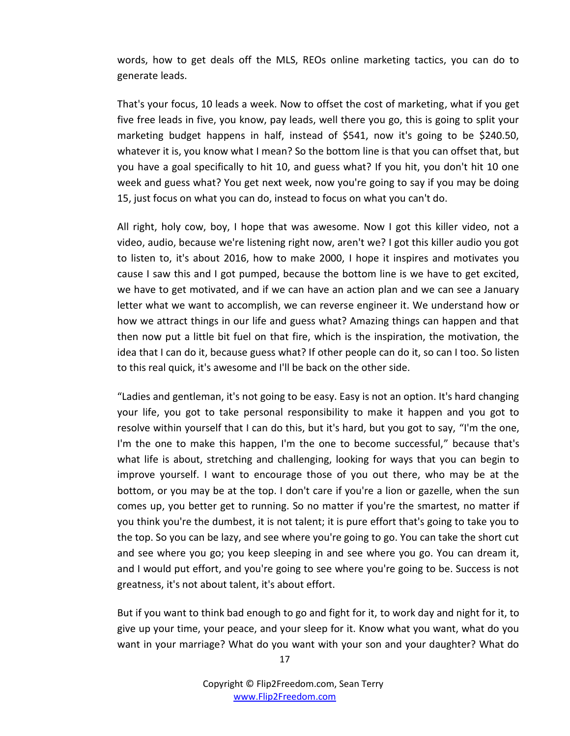words, how to get deals off the MLS, REOs online marketing tactics, you can do to generate leads.

That's your focus, 10 leads a week. Now to offset the cost of marketing, what if you get five free leads in five, you know, pay leads, well there you go, this is going to split your marketing budget happens in half, instead of \$541, now it's going to be \$240.50, whatever it is, you know what I mean? So the bottom line is that you can offset that, but you have a goal specifically to hit 10, and guess what? If you hit, you don't hit 10 one week and guess what? You get next week, now you're going to say if you may be doing 15, just focus on what you can do, instead to focus on what you can't do.

All right, holy cow, boy, I hope that was awesome. Now I got this killer video, not a video, audio, because we're listening right now, aren't we? I got this killer audio you got to listen to, it's about 2016, how to make 2000, I hope it inspires and motivates you cause I saw this and I got pumped, because the bottom line is we have to get excited, we have to get motivated, and if we can have an action plan and we can see a January letter what we want to accomplish, we can reverse engineer it. We understand how or how we attract things in our life and guess what? Amazing things can happen and that then now put a little bit fuel on that fire, which is the inspiration, the motivation, the idea that I can do it, because guess what? If other people can do it, so can I too. So listen to this real quick, it's awesome and I'll be back on the other side.

"Ladies and gentleman, it's not going to be easy. Easy is not an option. It's hard changing your life, you got to take personal responsibility to make it happen and you got to resolve within yourself that I can do this, but it's hard, but you got to say, "I'm the one, I'm the one to make this happen, I'm the one to become successful," because that's what life is about, stretching and challenging, looking for ways that you can begin to improve yourself. I want to encourage those of you out there, who may be at the bottom, or you may be at the top. I don't care if you're a lion or gazelle, when the sun comes up, you better get to running. So no matter if you're the smartest, no matter if you think you're the dumbest, it is not talent; it is pure effort that's going to take you to the top. So you can be lazy, and see where you're going to go. You can take the short cut and see where you go; you keep sleeping in and see where you go. You can dream it, and I would put effort, and you're going to see where you're going to be. Success is not greatness, it's not about talent, it's about effort.

But if you want to think bad enough to go and fight for it, to work day and night for it, to give up your time, your peace, and your sleep for it. Know what you want, what do you want in your marriage? What do you want with your son and your daughter? What do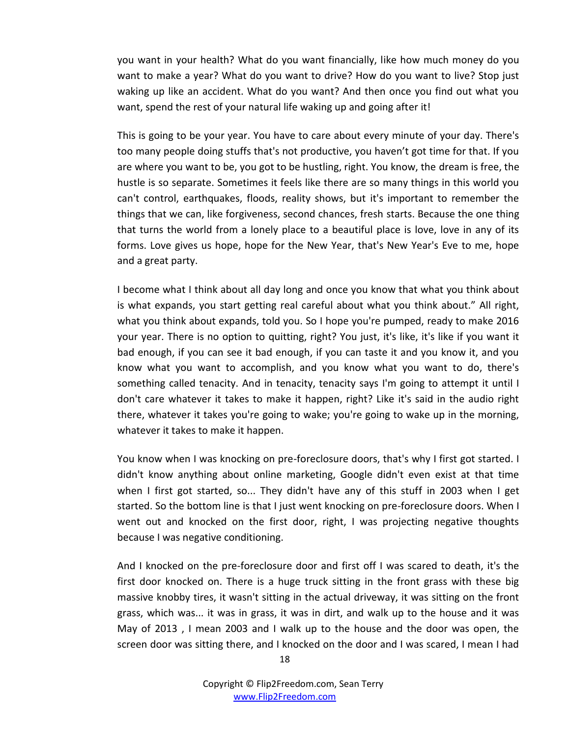you want in your health? What do you want financially, like how much money do you want to make a year? What do you want to drive? How do you want to live? Stop just waking up like an accident. What do you want? And then once you find out what you want, spend the rest of your natural life waking up and going after it!

This is going to be your year. You have to care about every minute of your day. There's too many people doing stuffs that's not productive, you haven't got time for that. If you are where you want to be, you got to be hustling, right. You know, the dream is free, the hustle is so separate. Sometimes it feels like there are so many things in this world you can't control, earthquakes, floods, reality shows, but it's important to remember the things that we can, like forgiveness, second chances, fresh starts. Because the one thing that turns the world from a lonely place to a beautiful place is love, love in any of its forms. Love gives us hope, hope for the New Year, that's New Year's Eve to me, hope and a great party.

I become what I think about all day long and once you know that what you think about is what expands, you start getting real careful about what you think about." All right, what you think about expands, told you. So I hope you're pumped, ready to make 2016 your year. There is no option to quitting, right? You just, it's like, it's like if you want it bad enough, if you can see it bad enough, if you can taste it and you know it, and you know what you want to accomplish, and you know what you want to do, there's something called tenacity. And in tenacity, tenacity says I'm going to attempt it until I don't care whatever it takes to make it happen, right? Like it's said in the audio right there, whatever it takes you're going to wake; you're going to wake up in the morning, whatever it takes to make it happen.

You know when I was knocking on pre-foreclosure doors, that's why I first got started. I didn't know anything about online marketing, Google didn't even exist at that time when I first got started, so... They didn't have any of this stuff in 2003 when I get started. So the bottom line is that I just went knocking on pre-foreclosure doors. When I went out and knocked on the first door, right, I was projecting negative thoughts because I was negative conditioning.

And I knocked on the pre-foreclosure door and first off I was scared to death, it's the first door knocked on. There is a huge truck sitting in the front grass with these big massive knobby tires, it wasn't sitting in the actual driveway, it was sitting on the front grass, which was... it was in grass, it was in dirt, and walk up to the house and it was May of 2013 , I mean 2003 and I walk up to the house and the door was open, the screen door was sitting there, and I knocked on the door and I was scared, I mean I had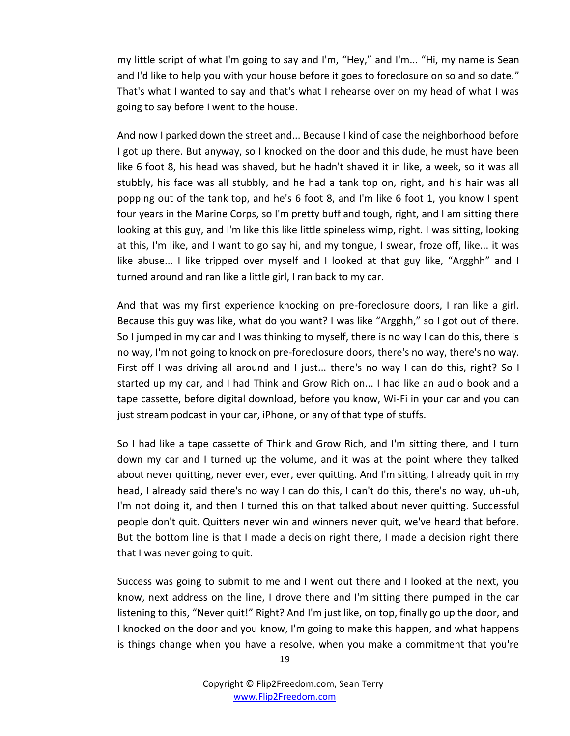my little script of what I'm going to say and I'm, "Hey," and I'm... "Hi, my name is Sean and I'd like to help you with your house before it goes to foreclosure on so and so date." That's what I wanted to say and that's what I rehearse over on my head of what I was going to say before I went to the house.

And now I parked down the street and... Because I kind of case the neighborhood before I got up there. But anyway, so I knocked on the door and this dude, he must have been like 6 foot 8, his head was shaved, but he hadn't shaved it in like, a week, so it was all stubbly, his face was all stubbly, and he had a tank top on, right, and his hair was all popping out of the tank top, and he's 6 foot 8, and I'm like 6 foot 1, you know I spent four years in the Marine Corps, so I'm pretty buff and tough, right, and I am sitting there looking at this guy, and I'm like this like little spineless wimp, right. I was sitting, looking at this, I'm like, and I want to go say hi, and my tongue, I swear, froze off, like... it was like abuse... I like tripped over myself and I looked at that guy like, "Argghh" and I turned around and ran like a little girl, I ran back to my car.

And that was my first experience knocking on pre-foreclosure doors, I ran like a girl. Because this guy was like, what do you want? I was like "Argghh," so I got out of there. So I jumped in my car and I was thinking to myself, there is no way I can do this, there is no way, I'm not going to knock on pre-foreclosure doors, there's no way, there's no way. First off I was driving all around and I just... there's no way I can do this, right? So I started up my car, and I had Think and Grow Rich on... I had like an audio book and a tape cassette, before digital download, before you know, Wi-Fi in your car and you can just stream podcast in your car, iPhone, or any of that type of stuffs.

So I had like a tape cassette of Think and Grow Rich, and I'm sitting there, and I turn down my car and I turned up the volume, and it was at the point where they talked about never quitting, never ever, ever, ever quitting. And I'm sitting, I already quit in my head, I already said there's no way I can do this, I can't do this, there's no way, uh-uh, I'm not doing it, and then I turned this on that talked about never quitting. Successful people don't quit. Quitters never win and winners never quit, we've heard that before. But the bottom line is that I made a decision right there, I made a decision right there that I was never going to quit.

Success was going to submit to me and I went out there and I looked at the next, you know, next address on the line, I drove there and I'm sitting there pumped in the car listening to this, "Never quit!" Right? And I'm just like, on top, finally go up the door, and I knocked on the door and you know, I'm going to make this happen, and what happens is things change when you have a resolve, when you make a commitment that you're